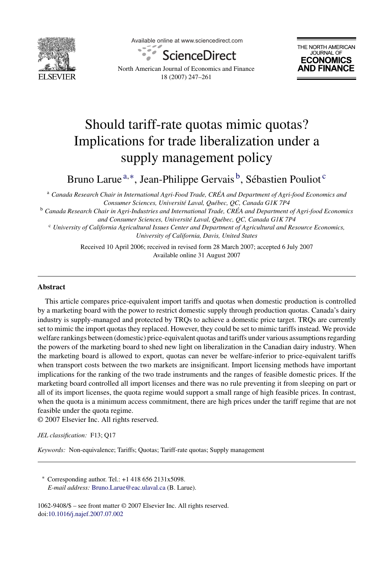

Available online at www.sciencedirect.com





North American Journal of Economics and Finance 18 (2007) 247–261

## Should tariff-rate quotas mimic quotas? Implications for trade liberalization under a supply management policy

Bruno Larue <sup>a,∗</sup>, Jean-Philippe Gervais<sup>b</sup>, Sébastien Pouliot<sup>c</sup>

<sup>a</sup> *Canada Research Chair in International Agri-Food Trade, CREA and Department of Agri-food Economics and ´ Consumer Sciences, Universit´e Laval, Qu´ebec, QC, Canada G1K 7P4*

<sup>b</sup> *Canada Research Chair in Agri-Industries and International Trade, CREA and Department of Agri-food Economics ´ and Consumer Sciences, Universit´e Laval, Qu´ebec, QC, Canada G1K 7P4*

<sup>c</sup> *University of California Agricultural Issues Center and Department of Agricultural and Resource Economics, University of California, Davis, United States*

> Received 10 April 2006; received in revised form 28 March 2007; accepted 6 July 2007 Available online 31 August 2007

## **Abstract**

This article compares price-equivalent import tariffs and quotas when domestic production is controlled by a marketing board with the power to restrict domestic supply through production quotas. Canada's dairy industry is supply-managed and protected by TRQs to achieve a domestic price target. TRQs are currently set to mimic the import quotas they replaced. However, they could be set to mimic tariffs instead. We provide welfare rankings between (domestic) price-equivalent quotas and tariffs under various assumptions regarding the powers of the marketing board to shed new light on liberalization in the Canadian dairy industry. When the marketing board is allowed to export, quotas can never be welfare-inferior to price-equivalent tariffs when transport costs between the two markets are insignificant. Import licensing methods have important implications for the ranking of the two trade instruments and the ranges of feasible domestic prices. If the marketing board controlled all import licenses and there was no rule preventing it from sleeping on part or all of its import licenses, the quota regime would support a small range of high feasible prices. In contrast, when the quota is a minimum access commitment, there are high prices under the tariff regime that are not feasible under the quota regime.

© 2007 Elsevier Inc. All rights reserved.

*JEL classification:* F13; Q17

*Keywords:* Non-equivalence; Tariffs; Quotas; Tariff-rate quotas; Supply management

∗ Corresponding author. Tel.: +1 418 656 2131x5098. *E-mail address:* [Bruno.Larue@eac.ulaval.ca](mailto:Bruno.Larue@eac.ulaval.ca) (B. Larue).

1062-9408/\$ – see front matter © 2007 Elsevier Inc. All rights reserved. doi[:10.1016/j.najef.2007.07.002](dx.doi.org/10.1016/j.najef.2007.07.002)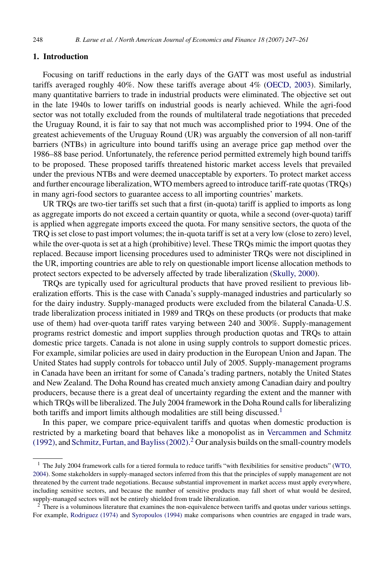## **1. Introduction**

Focusing on tariff reductions in the early days of the GATT was most useful as industrial tariffs averaged roughly 40%. Now these tariffs average about 4% [\(OECD, 2003\).](#page--1-0) Similarly, many quantitative barriers to trade in industrial products were eliminated. The objective set out in the late 1940s to lower tariffs on industrial goods is nearly achieved. While the agri-food sector was not totally excluded from the rounds of multilateral trade negotiations that preceded the Uruguay Round, it is fair to say that not much was accomplished prior to 1994. One of the greatest achievements of the Uruguay Round (UR) was arguably the conversion of all non-tariff barriers (NTBs) in agriculture into bound tariffs using an average price gap method over the 1986–88 base period. Unfortunately, the reference period permitted extremely high bound tariffs to be proposed. These proposed tariffs threatened historic market access levels that prevailed under the previous NTBs and were deemed unacceptable by exporters. To protect market access and further encourage liberalization, WTO members agreed to introduce tariff-rate quotas (TRQs) in many agri-food sectors to guarantee access to all importing countries' markets.

UR TRQs are two-tier tariffs set such that a first (in-quota) tariff is applied to imports as long as aggregate imports do not exceed a certain quantity or quota, while a second (over-quota) tariff is applied when aggregate imports exceed the quota. For many sensitive sectors, the quota of the TRQ is set close to past import volumes; the in-quota tariff is set at a very low (close to zero) level, while the over-quota is set at a high (prohibitive) level. These TRQs mimic the import quotas they replaced. Because import licensing procedures used to administer TRQs were not disciplined in the UR, importing countries are able to rely on questionable import license allocation methods to protect sectors expected to be adversely affected by trade liberalization ([Skully, 2000\).](#page--1-0)

TRQs are typically used for agricultural products that have proved resilient to previous liberalization efforts. This is the case with Canada's supply-managed industries and particularly so for the dairy industry. Supply-managed products were excluded from the bilateral Canada-U.S. trade liberalization process initiated in 1989 and TRQs on these products (or products that make use of them) had over-quota tariff rates varying between 240 and 300%. Supply-management programs restrict domestic and import supplies through production quotas and TRQs to attain domestic price targets. Canada is not alone in using supply controls to support domestic prices. For example, similar policies are used in dairy production in the European Union and Japan. The United States had supply controls for tobacco until July of 2005. Supply-management programs in Canada have been an irritant for some of Canada's trading partners, notably the United States and New Zealand. The Doha Round has created much anxiety among Canadian dairy and poultry producers, because there is a great deal of uncertainty regarding the extent and the manner with which TRQs will be liberalized. The July 2004 framework in the Doha Round calls for liberalizing both tariffs and import limits although modalities are still being discussed.<sup>1</sup>

In this paper, we compare price-equivalent tariffs and quotas when domestic production is restricted by a marketing board that behaves like a monopolist as in [Vercammen and Schmitz](#page--1-0) [\(1992\), a](#page--1-0)nd [Schmitz, Furtan, and Bayliss \(2002\).](#page--1-0) <sup>2</sup> Our analysis builds on the small-country models

<sup>&</sup>lt;sup>1</sup> The July 2004 framework calls for a tiered formula to reduce tariffs "with flexibilities for sensitive products" [\(WTO,](#page--1-0) [2004\).](#page--1-0) Some stakeholders in supply-managed sectors inferred from this that the principles of supply management are not threatened by the current trade negotiations. Because substantial improvement in market access must apply everywhere, including sensitive sectors, and because the number of sensitive products may fall short of what would be desired, supply-managed sectors will not be entirely shielded from trade liberalization.

 $2$  There is a voluminous literature that examines the non-equivalence between tariffs and quotas under various settings. For example, [Rodriguez \(1974\)](#page--1-0) and [Syropoulos \(1994\)](#page--1-0) make comparisons when countries are engaged in trade wars,